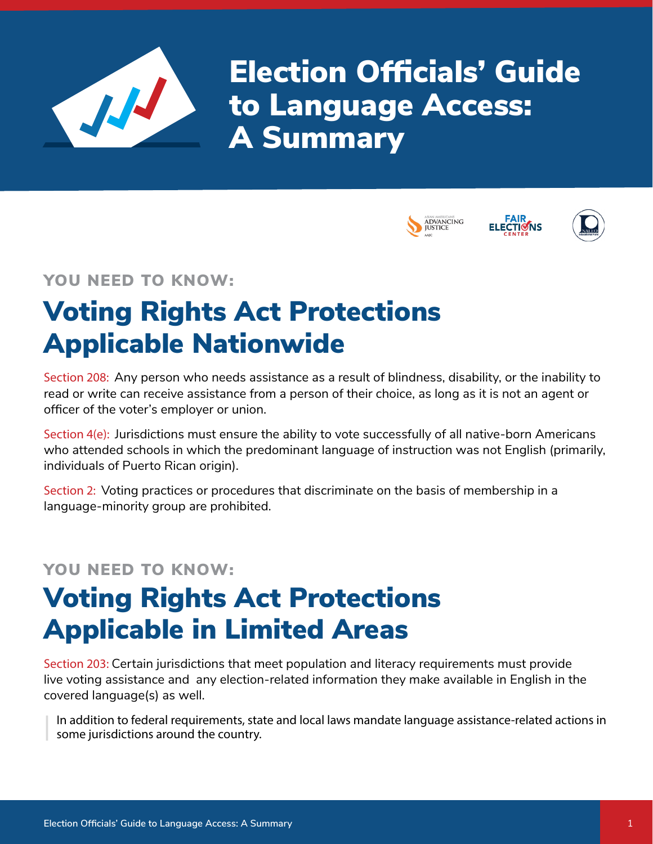

Election Officials' Guide to Language Access: A Summary







### YOU NEED TO KNOW:

# Voting Rights Act Protections Applicable Nationwide

Section 208: Any person who needs assistance as a result of blindness, disability, or the inability to read or write can receive assistance from a person of their choice, as long as it is not an agent or officer of the voter's employer or union.

Section 4(e): Jurisdictions must ensure the ability to vote successfully of all native-born Americans who attended schools in which the predominant language of instruction was not English (primarily, individuals of Puerto Rican origin).

Section 2: Voting practices or procedures that discriminate on the basis of membership in a language-minority group are prohibited.

### YOU NEED TO KNOW:

# Voting Rights Act Protections Applicable in Limited Areas

Section 203: Certain jurisdictions that meet population and literacy requirements must provide live voting assistance and any election-related information they make available in English in the covered language(s) as well.

In addition to federal requirements, state and local laws mandate language assistance-related actions in some jurisdictions around the country.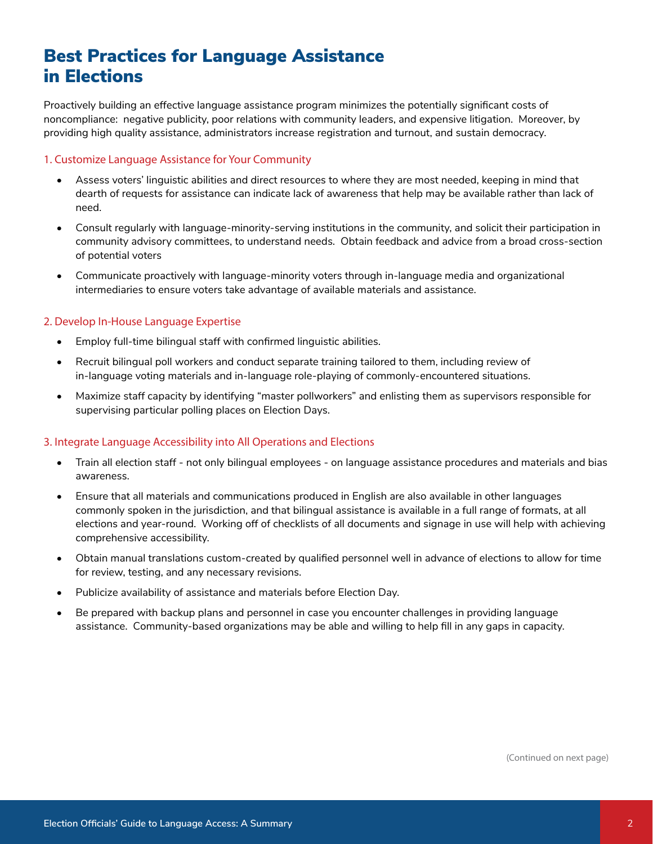## Best Practices for Language Assistance in Elections

Proactively building an effective language assistance program minimizes the potentially significant costs of noncompliance: negative publicity, poor relations with community leaders, and expensive litigation. Moreover, by providing high quality assistance, administrators increase registration and turnout, and sustain democracy.

#### 1. Customize Language Assistance for Your Community

- Assess voters' linguistic abilities and direct resources to where they are most needed, keeping in mind that dearth of requests for assistance can indicate lack of awareness that help may be available rather than lack of need.
- Consult regularly with language-minority-serving institutions in the community, and solicit their participation in community advisory committees, to understand needs. Obtain feedback and advice from a broad cross-section of potential voters
- Communicate proactively with language-minority voters through in-language media and organizational intermediaries to ensure voters take advantage of available materials and assistance.

#### 2. Develop In-House Language Expertise

- Employ full-time bilingual staff with confirmed linguistic abilities.
- Recruit bilingual poll workers and conduct separate training tailored to them, including review of in-language voting materials and in-language role-playing of commonly-encountered situations.
- Maximize staff capacity by identifying "master pollworkers" and enlisting them as supervisors responsible for supervising particular polling places on Election Days.

#### 3. Integrate Language Accessibility into All Operations and Elections

- Train all election staff not only bilingual employees on language assistance procedures and materials and bias awareness.
- Ensure that all materials and communications produced in English are also available in other languages commonly spoken in the jurisdiction, and that bilingual assistance is available in a full range of formats, at all elections and year-round. Working off of checklists of all documents and signage in use will help with achieving comprehensive accessibility.
- Obtain manual translations custom-created by qualified personnel well in advance of elections to allow for time for review, testing, and any necessary revisions.
- Publicize availability of assistance and materials before Election Day.
- Be prepared with backup plans and personnel in case you encounter challenges in providing language assistance. Community-based organizations may be able and willing to help fill in any gaps in capacity.

(Continued on next page)